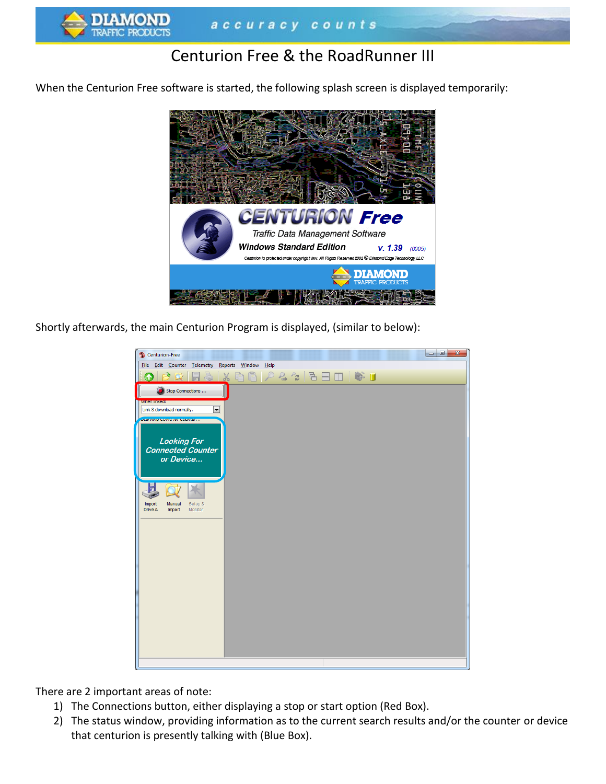

# Centurion Free & the RoadRunner III

When the Centurion Free software is started, the following splash screen is displayed temporarily:



Shortly afterwards, the main Centurion Program is displayed, (similar to below):



There are 2 important areas of note:

- 1) The Connections button, either displaying a stop or start option (Red Box).
- 2) The status window, providing information as to the current search results and/or the counter or device that centurion is presently talking with (Blue Box).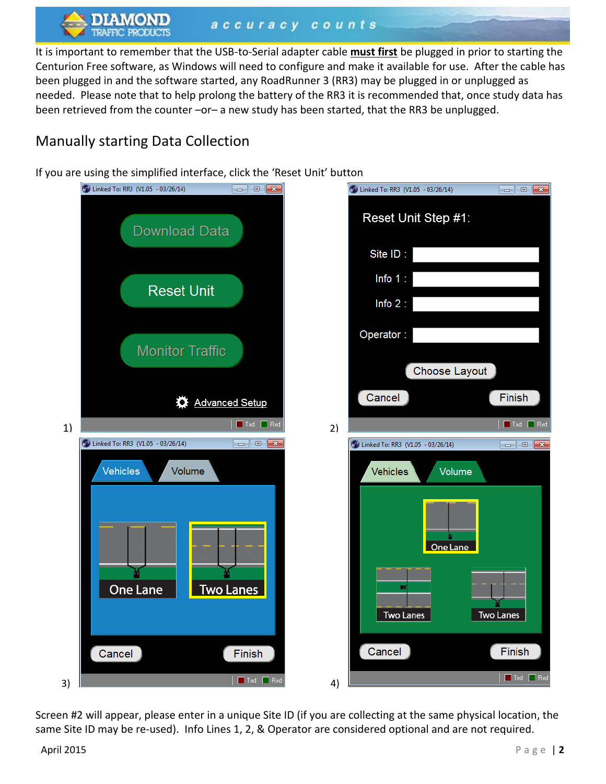accuracy counts

It is important to remember that the USB-to-Serial adapter cable **must first** be plugged in prior to starting the Centurion Free software, as Windows will need to configure and make it available for use. After the cable has been plugged in and the software started, any RoadRunner 3 (RR3) may be plugged in or unplugged as needed. Please note that to help prolong the battery of the RR3 it is recommended that, once study data has been retrieved from the counter -or- a new study has been started, that the RR3 be unplugged.

## Manually starting Data Collection

If you are using the simplified interface, click the 'Reset Unit' button



Screen #2 will appear, please enter in a unique Site ID (if you are collecting at the same physical location, the same Site ID may be re-used). Info Lines 1, 2, & Operator are considered optional and are not required.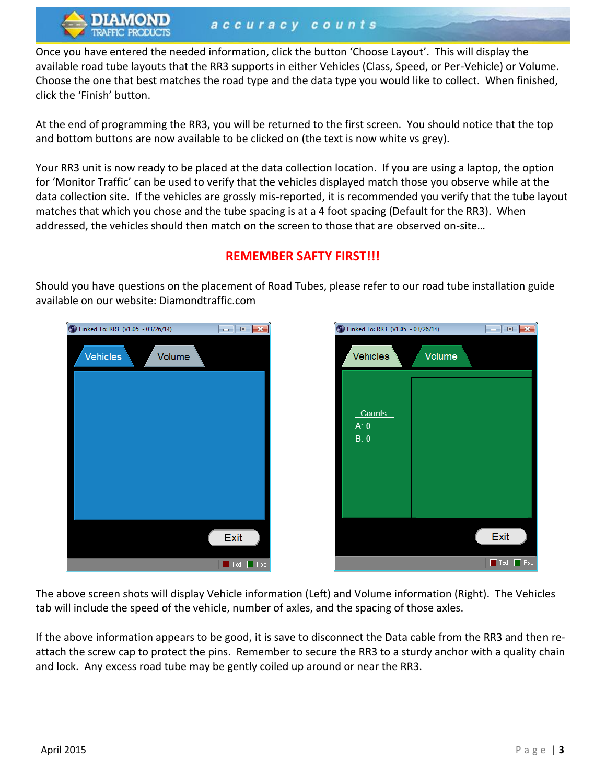Once you have entered the needed information, click the button 'Choose Layout'. This will display the available road tube layouts that the RR3 supports in either Vehicles (Class, Speed, or Per-Vehicle) or Volume. Choose the one that best matches the road type and the data type you would like to collect. When finished, click the 'Finish' button.

At the end of programming the RR3, you will be returned to the first screen. You should notice that the top and bottom buttons are now available to be clicked on (the text is now white vs grey).

Your RR3 unit is now ready to be placed at the data collection location. If you are using a laptop, the option for 'Monitor Traffic' can be used to verify that the vehicles displayed match those you observe while at the data collection site. If the vehicles are grossly mis-reported, it is recommended you verify that the tube layout matches that which you chose and the tube spacing is at a 4 foot spacing (Default for the RR3). When addressed, the vehicles should then match on the screen to those that are observed on-site…



### **REMEMBER SAFTY FIRST!!!**

2 Linked To: RR3 (V1.05 - 03/26/14)  $\Box$ e $\mathbf{x}$ **Vehicles** Volume Counts  $A: 0$  $B: 0$ Exit  $\Box$  Txd  $\Box$  Rx

Should you have questions on the placement of Road Tubes, please refer to our road tube installation guide available on our website: Diamondtraffic.com

The above screen shots will display Vehicle information (Left) and Volume information (Right). The Vehicles tab will include the speed of the vehicle, number of axles, and the spacing of those axles.

If the above information appears to be good, it is save to disconnect the Data cable from the RR3 and then reattach the screw cap to protect the pins. Remember to secure the RR3 to a sturdy anchor with a quality chain and lock. Any excess road tube may be gently coiled up around or near the RR3.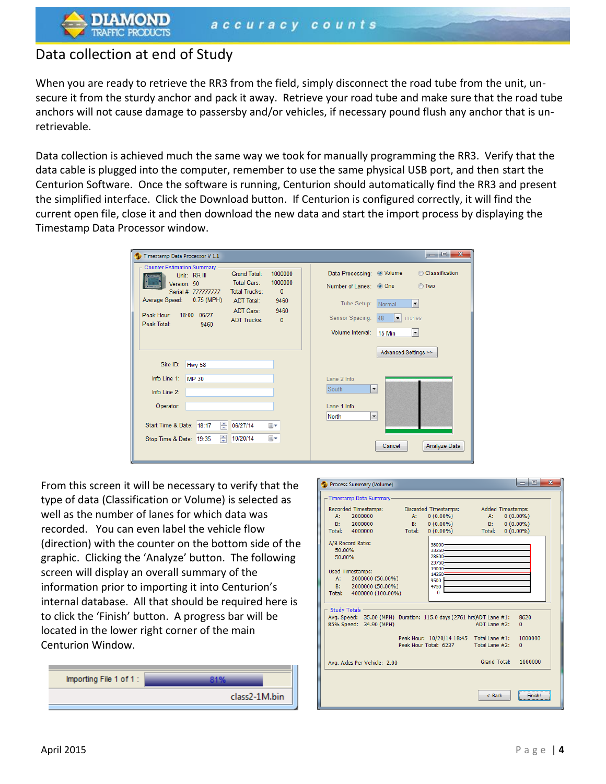### Data collection at end of Study

When you are ready to retrieve the RR3 from the field, simply disconnect the road tube from the unit, unsecure it from the sturdy anchor and pack it away. Retrieve your road tube and make sure that the road tube anchors will not cause damage to passersby and/or vehicles, if necessary pound flush any anchor that is unretrievable.

Data collection is achieved much the same way we took for manually programming the RR3. Verify that the data cable is plugged into the computer, remember to use the same physical USB port, and then start the Centurion Software. Once the software is running, Centurion should automatically find the RR3 and present the simplified interface. Click the Download button. If Centurion is configured correctly, it will find the current open file, close it and then download the new data and start the import process by displaying the Timestamp Data Processor window.

| Timestamp Data Processor V 1.1                                                                                                                                                   |        |                                                                                                                                                                                             |                      |                                                                                                  | $\mathbf{x}$<br>o<br>l o                                                                                                          |              |  |  |
|----------------------------------------------------------------------------------------------------------------------------------------------------------------------------------|--------|---------------------------------------------------------------------------------------------------------------------------------------------------------------------------------------------|----------------------|--------------------------------------------------------------------------------------------------|-----------------------------------------------------------------------------------------------------------------------------------|--------------|--|--|
| <b>Counter Estimation Summary</b><br>Unit: RR III<br>Version: 50<br>Serial #: 227777777<br>$0.75$ (MPH)<br>Average Speed:<br>Peak Hour:<br>18:00<br>06/27<br>Peak Total:<br>9460 |        | 1000000<br><b>Grand Total:</b><br>1000000<br><b>Total Cars:</b><br><b>Total Trucks:</b><br>$\Omega$<br><b>ADT Total:</b><br>9460<br>ADT Cars:<br>9460<br><b>ADT Trucks:</b><br>$\mathbf{0}$ |                      | Data Processing:<br>Number of Lanes: © One<br>Tube Setup:<br>Sensor Spacing:<br>Volume Interval: | Classification<br>O Volume<br><b>Two</b><br>$\blacktriangledown$<br>Normal<br>inches<br>48<br>۰<br>15 Min<br>$\blacktriangledown$ |              |  |  |
|                                                                                                                                                                                  |        |                                                                                                                                                                                             |                      |                                                                                                  | Advanced Settings >>                                                                                                              |              |  |  |
| Site ID:                                                                                                                                                                         | Hwy 58 |                                                                                                                                                                                             |                      |                                                                                                  |                                                                                                                                   |              |  |  |
| Info Line $1$ :                                                                                                                                                                  | MP 30  |                                                                                                                                                                                             |                      | Lane 2 Info:                                                                                     |                                                                                                                                   |              |  |  |
| Info Line 2:                                                                                                                                                                     |        |                                                                                                                                                                                             |                      | $\blacktriangledown$<br>South                                                                    |                                                                                                                                   |              |  |  |
| Operator:                                                                                                                                                                        |        |                                                                                                                                                                                             |                      | Lane 1 Info:                                                                                     |                                                                                                                                   |              |  |  |
| Start Time & Date: 18:17<br>Stop Time & Date: 19:35                                                                                                                              | ÷<br>÷ | 06/27/14<br>10/20/14                                                                                                                                                                        | $\blacksquare$<br>⊞▼ | North<br>$\blacktriangledown$                                                                    | Cancel                                                                                                                            | Analyze Data |  |  |

From this screen it will be necessary to verify that the type of data (Classification or Volume) is selected as well as the number of lanes for which data was recorded. You can even label the vehicle flow (direction) with the counter on the bottom side of the graphic. Clicking the 'Analyze' button. The following screen will display an overall summary of the information prior to importing it into Centurion's internal database. All that should be required here is to click the 'Finish' button. A progress bar will be located in the lower right corner of the main Centurion Window.



| $\overline{\mathbf{x}}$<br>$\begin{array}{c c c c c} \hline \multicolumn{1}{c }{\textbf{0}} & \multicolumn{1}{c }{\textbf{0}} \end{array}$<br>Process Summary (Volume) |                                                                                                                                                                |          |                                                                   |                               |                            |  |  |
|------------------------------------------------------------------------------------------------------------------------------------------------------------------------|----------------------------------------------------------------------------------------------------------------------------------------------------------------|----------|-------------------------------------------------------------------|-------------------------------|----------------------------|--|--|
|                                                                                                                                                                        | -Timestamp Data Summary-                                                                                                                                       |          |                                                                   |                               |                            |  |  |
|                                                                                                                                                                        | Recorded Timestamps:<br>2000000<br>A:<br>2000000<br>B:                                                                                                         | A:<br>B: | Discarded Timestamps:<br>$0(0.00\%)$<br>$0(0.00\%)$               | Added Timestamps:<br>A:<br>B: | $0(0.00\%)$<br>$0(0.00\%)$ |  |  |
|                                                                                                                                                                        | Total:<br>4000000<br>A/B Record Ratio:<br>50.00%<br>50.00%                                                                                                     | Total:   | $0(0.00\%)$<br>38000<br>33250<br>28500<br>23750                   | Total:                        | $0(0.00\%)$                |  |  |
|                                                                                                                                                                        | Used Timestamps:<br>$A$ :<br>2000000 (50.00%)<br>2000000 (50.00%)<br>B:<br>4000000 (100,00%)<br>Total:                                                         |          | 19000<br>14250<br>9500<br>4750<br>0                               |                               |                            |  |  |
|                                                                                                                                                                        | <b>Study Totals</b><br>Avg. Speed: 35.00 (MPH) Duration: 115.0 days (2761 hrs)ADT Lane #1:<br>8620<br>85% Speed: 34.90 (MPH)<br>ADT Lane #2:<br>$\overline{0}$ |          |                                                                   |                               |                            |  |  |
|                                                                                                                                                                        |                                                                                                                                                                |          | Peak Hour: 10/20/14 18:45 Total Lane #1:<br>Peak Hour Total: 6237 | Total Lane #2:                | 1000000<br>0               |  |  |
|                                                                                                                                                                        | Avg. Axles Per Vehicle: 2.00                                                                                                                                   |          |                                                                   | Grand Total:                  | 1000000                    |  |  |
|                                                                                                                                                                        |                                                                                                                                                                |          |                                                                   | $<$ Back                      | Finish!                    |  |  |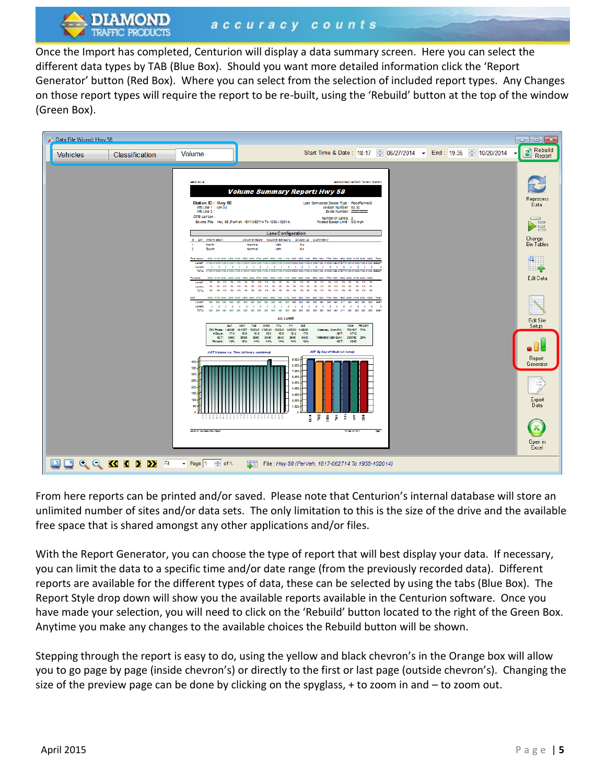Once the Import has completed, Centurion will display a data summary screen. Here you can select the different data types by TAB (Blue Box). Should you want more detailed information click the 'Report Generator' button (Red Box). Where you can select from the selection of included report types. Any Changes on those report types will require the report to be re-built, using the 'Rebuild' button at the top of the window (Green Box).



From here reports can be printed and/or saved. Please note that Centurion's internal database will store an unlimited number of sites and/or data sets. The only limitation to this is the size of the drive and the available free space that is shared amongst any other applications and/or files.

With the Report Generator, you can choose the type of report that will best display your data. If necessary, you can limit the data to a specific time and/or date range (from the previously recorded data). Different reports are available for the different types of data, these can be selected by using the tabs (Blue Box). The Report Style drop down will show you the available reports available in the Centurion software. Once you have made your selection, you will need to click on the 'Rebuild' button located to the right of the Green Box. Anytime you make any changes to the available choices the Rebuild button will be shown.

Stepping through the report is easy to do, using the yellow and black chevron's in the Orange box will allow you to go page by page (inside chevron's) or directly to the first or last page (outside chevron's). Changing the size of the preview page can be done by clicking on the spyglass,  $+$  to zoom in and  $-$  to zoom out.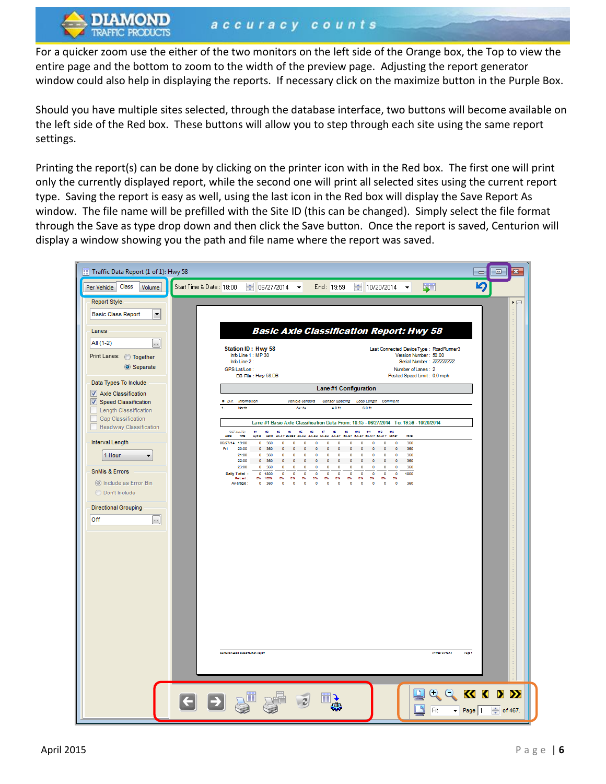For a quicker zoom use the either of the two monitors on the left side of the Orange box, the Top to view the entire page and the bottom to zoom to the width of the preview page. Adjusting the report generator window could also help in displaying the reports. If necessary click on the maximize button in the Purple Box.

Should you have multiple sites selected, through the database interface, two buttons will become available on the left side of the Red box. These buttons will allow you to step through each site using the same report settings.

Printing the report(s) can be done by clicking on the printer icon with in the Red box. The first one will print only the currently displayed report, while the second one will print all selected sites using the current report type. Saving the report is easy as well, using the last icon in the Red box will display the Save Report As window. The file name will be prefilled with the Site ID (this can be changed). Simply select the file format through the Save as type drop down and then click the Save button. Once the report is saved, Centurion will display a window showing you the path and file name where the report was saved.